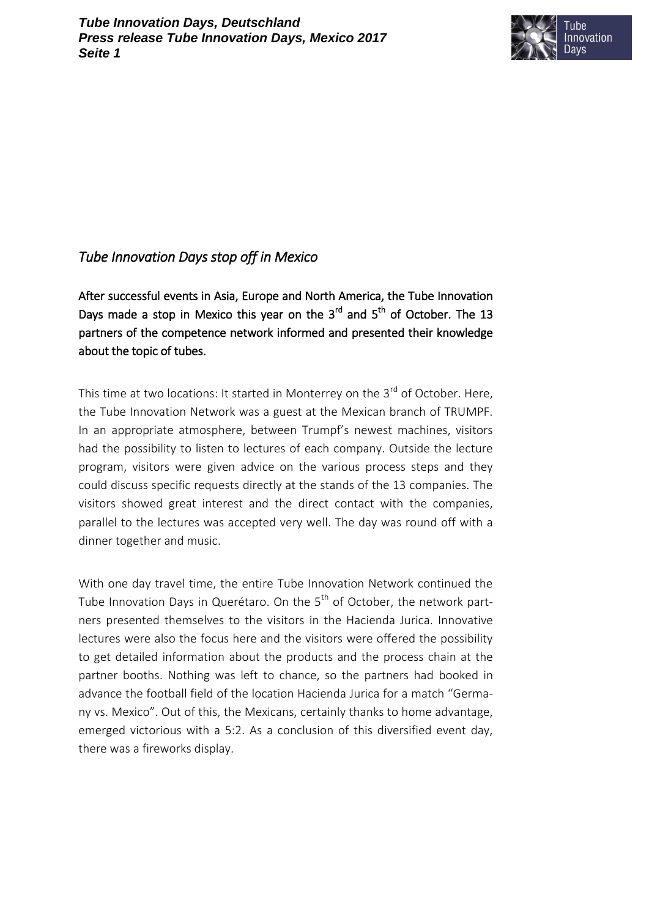

## *Tube Innovation Days stop off in Mexico*

After successful events in Asia, Europe and North America, the Tube Innovation Days made a stop in Mexico this year on the  $3<sup>rd</sup>$  and  $5<sup>th</sup>$  of October. The 13 partners of the competence network informed and presented their knowledge about the topic of tubes.

This time at two locations: It started in Monterrey on the  $3<sup>rd</sup>$  of October. Here, the Tube Innovation Network was a guest at the Mexican branch of TRUMPF. In an appropriate atmosphere, between Trumpf's newest machines, visitors had the possibility to listen to lectures of each company. Outside the lecture program, visitors were given advice on the various process steps and they could discuss specific requests directly at the stands of the 13 companies. The visitors showed great interest and the direct contact with the companies, parallel to the lectures was accepted very well. The day was round off with a dinner together and music.

With one day travel time, the entire Tube Innovation Network continued the Tube Innovation Days in Querétaro. On the  $5<sup>th</sup>$  of October, the network partners presented themselves to the visitors in the Hacienda Jurica. Innovative lectures were also the focus here and the visitors were offered the possibility to get detailed information about the products and the process chain at the partner booths. Nothing was left to chance, so the partners had booked in advance the football field of the location Hacienda Jurica for a match "Germany vs. Mexico". Out of this, the Mexicans, certainly thanks to home advantage, emerged victorious with a 5:2. As a conclusion of this diversified event day, there was a fireworks display.